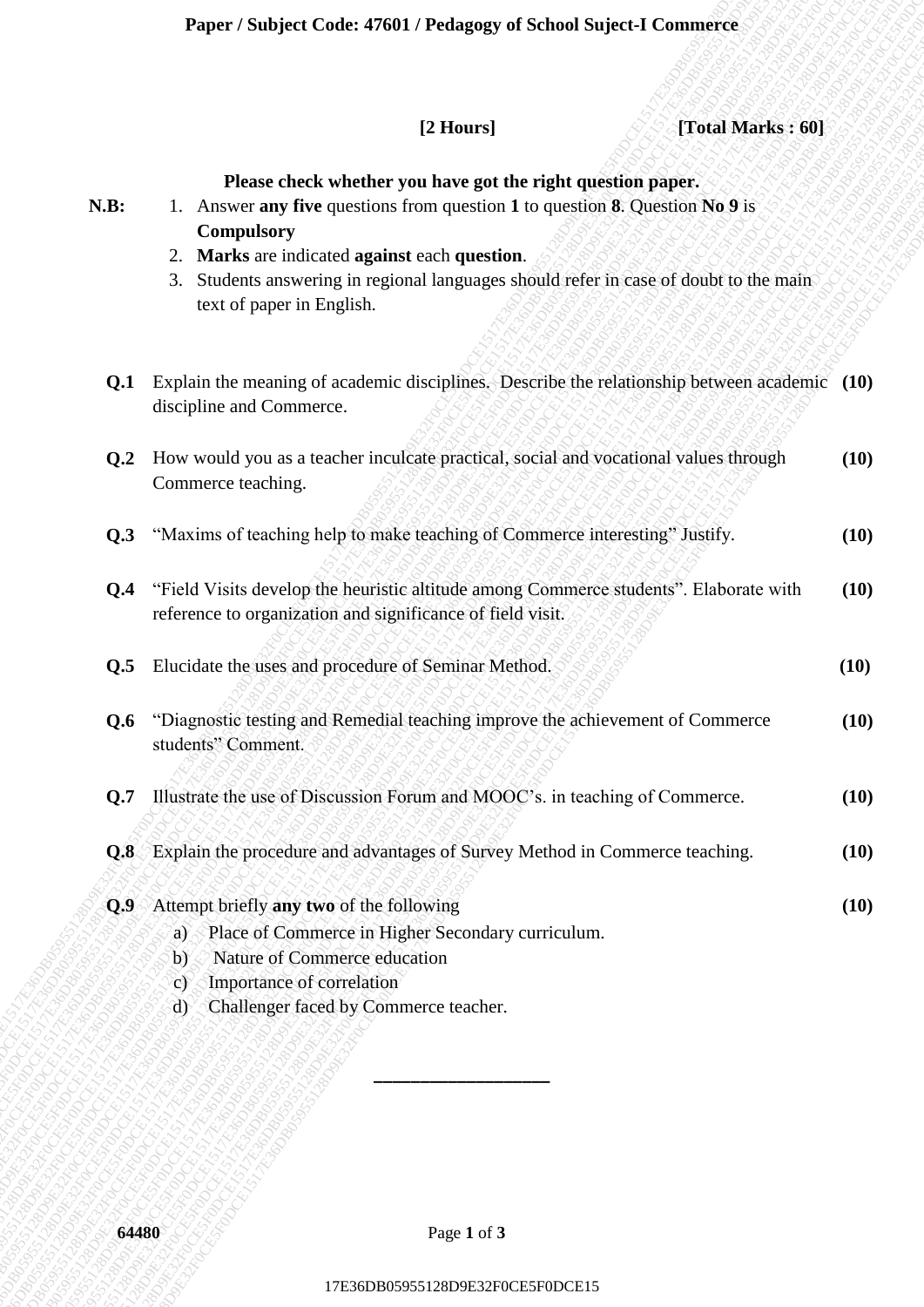#### **[2 Hours] [Total Marks : 60]**

|                | Paper / Subject Code: 47601 / Pedagogy of School Suject-I Commerce                                                                                                                                                                                                                                                                        |      |
|----------------|-------------------------------------------------------------------------------------------------------------------------------------------------------------------------------------------------------------------------------------------------------------------------------------------------------------------------------------------|------|
|                |                                                                                                                                                                                                                                                                                                                                           |      |
|                | [Total Marks: 60]<br>[2 Hours]                                                                                                                                                                                                                                                                                                            |      |
| N.B:           | Please check whether you have got the right question paper.<br>1. Answer any five questions from question 1 to question 8. Question No $9$ is<br><b>Compulsory</b><br>2. Marks are indicated against each question.<br>3. Students answering in regional languages should refer in case of doubt to the main<br>text of paper in English. |      |
| Q <sub>1</sub> | Explain the meaning of academic disciplines. Describe the relationship between academic (10)<br>discipline and Commerce.                                                                                                                                                                                                                  |      |
| Q <sub>2</sub> | How would you as a teacher inculcate practical, social and vocational values through<br>Commerce teaching.                                                                                                                                                                                                                                | (10) |
| Q.3            | "Maxims of teaching help to make teaching of Commerce interesting" Justify.                                                                                                                                                                                                                                                               | (10) |
| Q.4            | "Field Visits develop the heuristic altitude among Commerce students". Elaborate with<br>reference to organization and significance of field visit.                                                                                                                                                                                       | (10) |
| Q.5            | Elucidate the uses and procedure of Seminar Method.                                                                                                                                                                                                                                                                                       | (10) |
| Q.6            | "Diagnostic testing and Remedial teaching improve the achievement of Commerce<br>students" Comment.                                                                                                                                                                                                                                       | (10) |
| Q.7            | Illustrate the use of Discussion Forum and MOOC's. in teaching of Commerce.                                                                                                                                                                                                                                                               | (10) |
| Q.8            | Explain the procedure and advantages of Survey Method in Commerce teaching.                                                                                                                                                                                                                                                               | (10) |
| Q.9            | Attempt briefly any two of the following<br>Place of Commerce in Higher Secondary curriculum.<br>(a)<br>Nature of Commerce education<br>$\mathbf{b}$<br>Importance of correlation<br>$\mathcal{C}$<br>Challenger faced by Commerce teacher.<br>d)                                                                                         | (10) |
| 64480          | Page 1 of 3                                                                                                                                                                                                                                                                                                                               |      |
|                | 17E36DB05955128D9E32F0CE5F0DCE15                                                                                                                                                                                                                                                                                                          |      |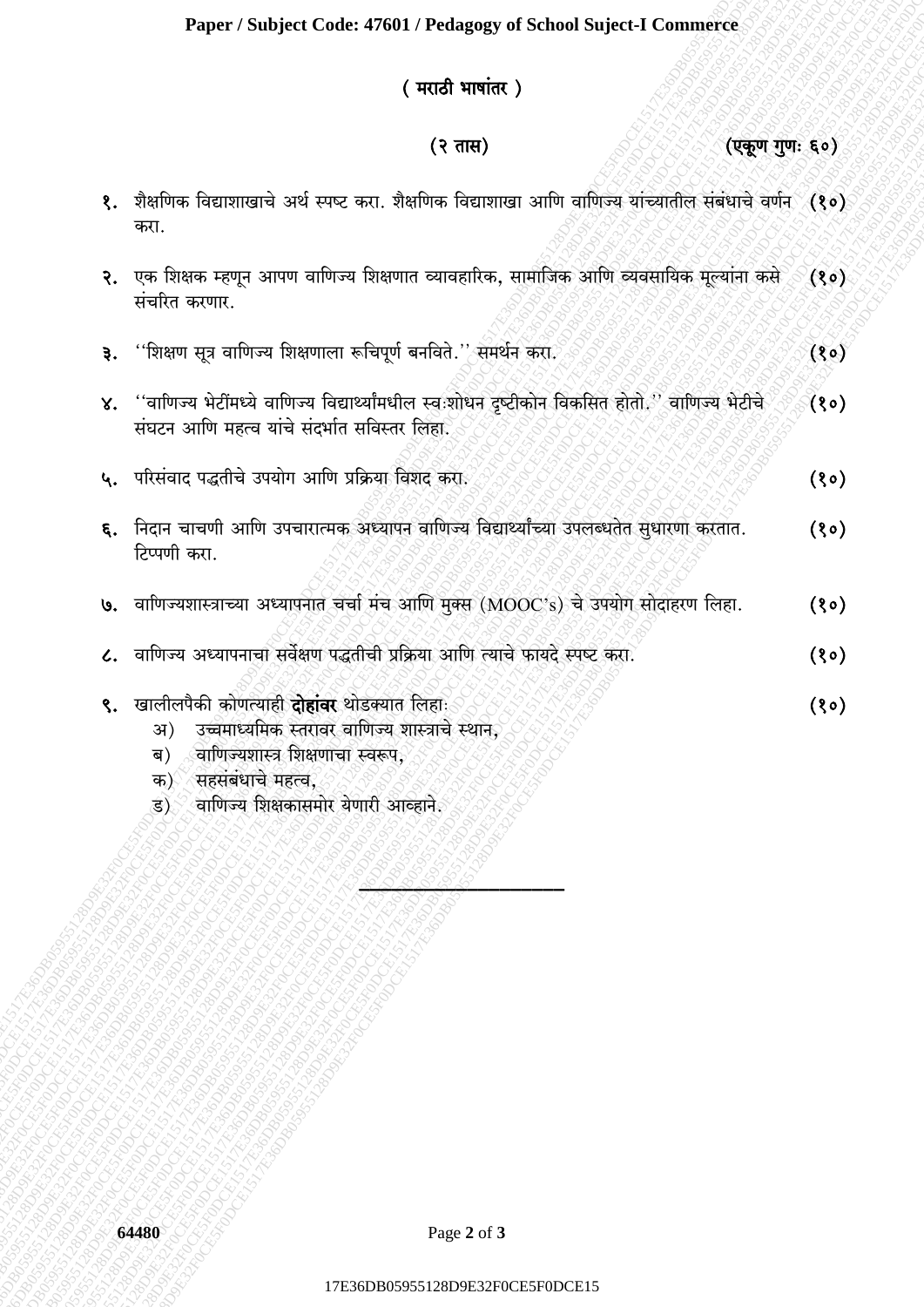## (मराठी भाषांतर)

| (२ तास)<br>(एकूण गुणः ६०)                                                                                                                                                                                                      |                      |
|--------------------------------------------------------------------------------------------------------------------------------------------------------------------------------------------------------------------------------|----------------------|
| १.   शैक्षणिक विद्याशाखाचे अर्थ स्पष्ट करा. शैक्षणिक विद्याशाखा आणि वाणिज्य यांच्यातील संबंधाचे वर्णन (१०)<br>करा.                                                                                                             |                      |
| २.  एक शिक्षक म्हणून आपण वाणिज्य शिक्षणात व्यावहारिक, सामाजिक आणि व्यवसायिक मूल्यांना कसे<br>संचरित करणार.                                                                                                                     | $\langle 30 \rangle$ |
| ३. ''शिक्षण सूत्र वाणिज्य शिक्षणाला रूचिपूर्ण बनविते.'' समर्थन करा.                                                                                                                                                            | (30)                 |
| ४. ''वाणिज्य भेटींमध्ये वाणिज्य विद्यार्थ्यांमधील स्वःशोधन दृष्टीकोन विकसित होतो.'' वाणिज्य भेटीचे<br>संघटन आणि महत्व यांचे संदर्भात सविस्तर लिहा.                                                                             | (30)                 |
| ५. परिसंवाद पद्धतीचे उपयोग आणि प्रक्रिया विशद करा.                                                                                                                                                                             | (30)                 |
| ६. निदान चाचणी आणि उपचारात्मक अध्यापन वाणिज्य विद्यार्थ्यांच्या उपलब्धतेत सुधारणा करतात.<br>टिप्पणी करा.                                                                                                                       | (30)                 |
| ७. वाणिज्यशास्त्राच्या अध्यापनात चर्चा मंच आणि मुक्स (MOOC's) चे उपयोग सोदाहरण लिहा.                                                                                                                                           | (30)                 |
| ८. वाणिज्य अध्यापनाचा सर्वेक्षण पद्धतीची प्रक्रिया आणि त्याचे फायदे स्पष्ट करा.                                                                                                                                                | (30)                 |
| ९. खालीलपैकी कोणत्याही <b>दोहांवर</b> थोडक्यात लिहाः<br>उच्चमाध्यमिक स्तरावर वाणिज्य शास्त्राचे स्थान,<br>अ)<br>्वाणिज्यशास्त्र शिक्षणाचा स्वरूप,<br>ब)<br>क) सहसंबंधाचे महत्व,<br>्वाणिज्य शिक्षकासमोर येणारी आव्हाने.<br>ड)े | (30)                 |
|                                                                                                                                                                                                                                |                      |